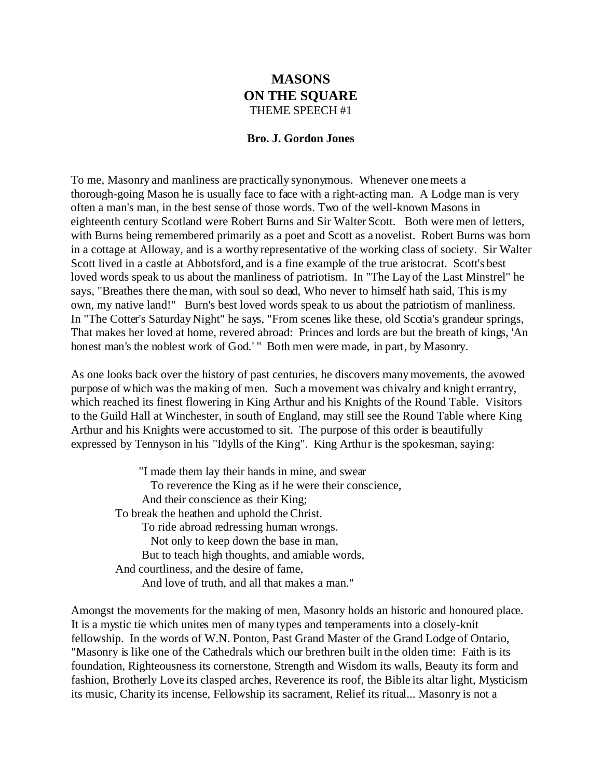## **MASONS ON THE SQUARE** THEME SPEECH #1

## **Bro. J. Gordon Jones**

To me, Masonry and manliness are practically synonymous. Whenever one meets a thorough-going Mason he is usually face to face with a right-acting man. A Lodge man is very often a man's man, in the best sense of those words. Two of the well-known Masons in eighteenth century Scotland were Robert Burns and Sir Walter Scott. Both were men of letters, with Burns being remembered primarily as a poet and Scott as a novelist. Robert Burns was born in a cottage at Alloway, and is a worthy representative of the working class of society. Sir Walter Scott lived in a castle at Abbotsford, and is a fine example of the true aristocrat. Scott's best loved words speak to us about the manliness of patriotism. In "The Lay of the Last Minstrel" he says, "Breathes there the man, with soul so dead, Who never to himself hath said, This is my own, my native land!" Burn's best loved words speak to us about the patriotism of manliness. In "The Cotter's Saturday Night" he says, "From scenes like these, old Scotia's grandeur springs, That makes her loved at home, revered abroad: Princes and lords are but the breath of kings, 'An honest man's the noblest work of God.' " Both men were made, in part, by Masonry.

As one looks back over the history of past centuries, he discovers many movements, the avowed purpose of which was the making of men. Such a movement was chivalry and knight errantry, which reached its finest flowering in King Arthur and his Knights of the Round Table. Visitors to the Guild Hall at Winchester, in south of England, may still see the Round Table where King Arthur and his Knights were accustomed to sit. The purpose of this order is beautifully expressed by Tennyson in his "Idylls of the King". King Arthur is the spokesman, saying:

 "I made them lay their hands in mine, and swear To reverence the King as if he were their conscience, And their conscience as their King; To break the heathen and uphold the Christ. To ride abroad redressing human wrongs. Not only to keep down the base in man, But to teach high thoughts, and amiable words, And courtliness, and the desire of fame, And love of truth, and all that makes a man."

Amongst the movements for the making of men, Masonry holds an historic and honoured place. It is a mystic tie which unites men of many types and temperaments into a closely-knit fellowship. In the words of W.N. Ponton, Past Grand Master of the Grand Lodge of Ontario, "Masonry is like one of the Cathedrals which our brethren built in the olden time: Faith is its foundation, Righteousness its cornerstone, Strength and Wisdom its walls, Beauty its form and fashion, Brotherly Love its clasped arches, Reverence its roof, the Bible its altar light, Mysticism its music, Charity its incense, Fellowship its sacrament, Relief its ritual... Masonry is not a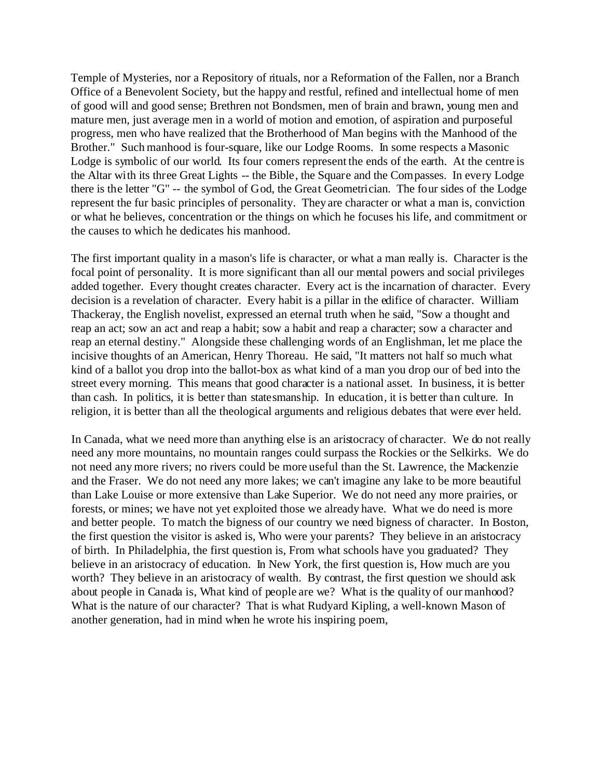Temple of Mysteries, nor a Repository of rituals, nor a Reformation of the Fallen, nor a Branch Office of a Benevolent Society, but the happy and restful, refined and intellectual home of men of good will and good sense; Brethren not Bondsmen, men of brain and brawn, young men and mature men, just average men in a world of motion and emotion, of aspiration and purposeful progress, men who have realized that the Brotherhood of Man begins with the Manhood of the Brother." Such manhood is four-square, like our Lodge Rooms. In some respects a Masonic Lodge is symbolic of our world. Its four comers represent the ends of the earth. At the centre is the Altar with its three Great Lights -- the Bible, the Square and the Compasses. In every Lodge there is the letter "G" -- the symbol of God, the Great Geometrician. The four sides of the Lodge represent the fur basic principles of personality. They are character or what a man is, conviction or what he believes, concentration or the things on which he focuses his life, and commitment or the causes to which he dedicates his manhood.

The first important quality in a mason's life is character, or what a man really is. Character is the focal point of personality. It is more significant than all our mental powers and social privileges added together. Every thought creates character. Every act is the incarnation of character. Every decision is a revelation of character. Every habit is a pillar in the edifice of character. William Thackeray, the English novelist, expressed an eternal truth when he said, "Sow a thought and reap an act; sow an act and reap a habit; sow a habit and reap a character; sow a character and reap an eternal destiny." Alongside these challenging words of an Englishman, let me place the incisive thoughts of an American, Henry Thoreau. He said, "It matters not half so much what kind of a ballot you drop into the ballot-box as what kind of a man you drop our of bed into the street every morning. This means that good character is a national asset. In business, it is better than cash. In politics, it is better than statesmanship. In education, it is better than culture. In religion, it is better than all the theological arguments and religious debates that were ever held.

In Canada, what we need more than anything else is an aristocracy of character. We do not really need any more mountains, no mountain ranges could surpass the Rockies or the Selkirks. We do not need any more rivers; no rivers could be more useful than the St. Lawrence, the Mackenzie and the Fraser. We do not need any more lakes; we can't imagine any lake to be more beautiful than Lake Louise or more extensive than Lake Superior. We do not need any more prairies, or forests, or mines; we have not yet exploited those we already have. What we do need is more and better people. To match the bigness of our country we need bigness of character. In Boston, the first question the visitor is asked is, Who were your parents? They believe in an aristocracy of birth. In Philadelphia, the first question is, From what schools have you graduated? They believe in an aristocracy of education. In New York, the first question is, How much are you worth? They believe in an aristocracy of wealth. By contrast, the first question we should ask about people in Canada is, What kind of people are we? What is the quality of our manhood? What is the nature of our character? That is what Rudyard Kipling, a well-known Mason of another generation, had in mind when he wrote his inspiring poem,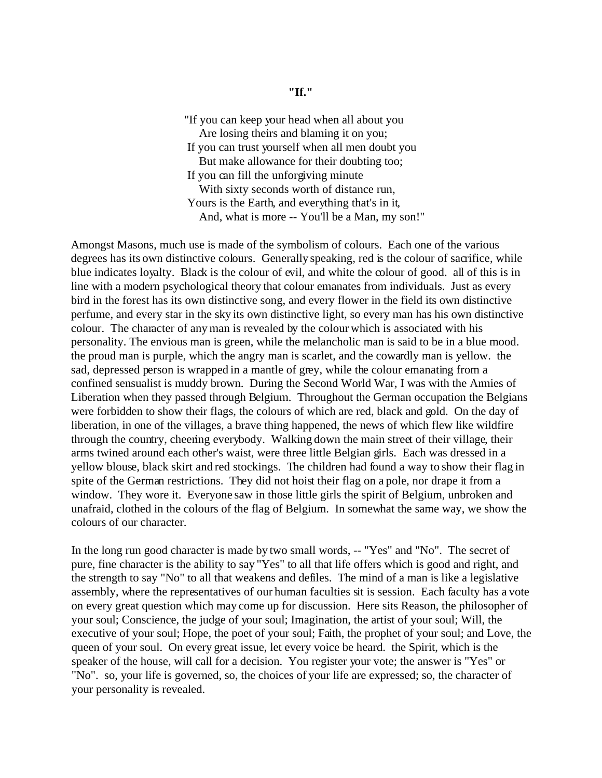"If you can keep your head when all about you Are losing theirs and blaming it on you; If you can trust yourself when all men doubt you But make allowance for their doubting too; If you can fill the unforgiving minute With sixty seconds worth of distance run, Yours is the Earth, and everything that's in it, And, what is more -- You'll be a Man, my son!"

Amongst Masons, much use is made of the symbolism of colours. Each one of the various degrees has its own distinctive colours. Generally speaking, red is the colour of sacrifice, while blue indicates loyalty. Black is the colour of evil, and white the colour of good. all of this is in line with a modern psychological theory that colour emanates from individuals. Just as every bird in the forest has its own distinctive song, and every flower in the field its own distinctive perfume, and every star in the sky its own distinctive light, so every man has his own distinctive colour. The character of any man is revealed by the colour which is associated with his personality. The envious man is green, while the melancholic man is said to be in a blue mood. the proud man is purple, which the angry man is scarlet, and the cowardly man is yellow. the sad, depressed person is wrapped in a mantle of grey, while the colour emanating from a confined sensualist is muddy brown. During the Second World War, I was with the Armies of Liberation when they passed through Belgium. Throughout the German occupation the Belgians were forbidden to show their flags, the colours of which are red, black and gold. On the day of liberation, in one of the villages, a brave thing happened, the news of which flew like wildfire through the country, cheering everybody. Walking down the main street of their village, their arms twined around each other's waist, were three little Belgian girls. Each was dressed in a yellow blouse, black skirt and red stockings. The children had found a way to show their flag in spite of the German restrictions. They did not hoist their flag on a pole, nor drape it from a window. They wore it. Everyone saw in those little girls the spirit of Belgium, unbroken and unafraid, clothed in the colours of the flag of Belgium. In somewhat the same way, we show the colours of our character.

In the long run good character is made by two small words, -- "Yes" and "No". The secret of pure, fine character is the ability to say "Yes" to all that life offers which is good and right, and the strength to say "No" to all that weakens and defiles. The mind of a man is like a legislative assembly, where the representatives of our human faculties sit is session. Each faculty has a vote on every great question which may come up for discussion. Here sits Reason, the philosopher of your soul; Conscience, the judge of your soul; Imagination, the artist of your soul; Will, the executive of your soul; Hope, the poet of your soul; Faith, the prophet of your soul; and Love, the queen of your soul. On every great issue, let every voice be heard. the Spirit, which is the speaker of the house, will call for a decision. You register your vote; the answer is "Yes" or "No". so, your life is governed, so, the choices of your life are expressed; so, the character of your personality is revealed.

## **"If."**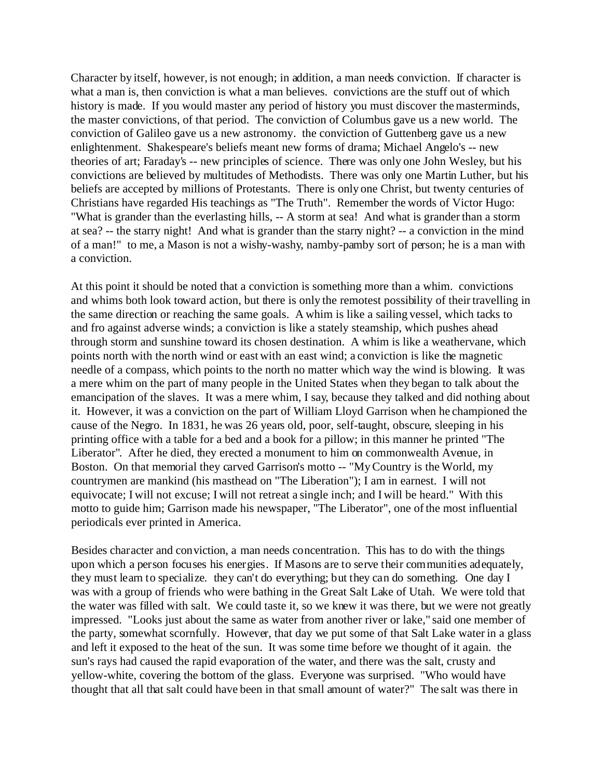Character by itself, however, is not enough; in addition, a man needs conviction. If character is what a man is, then conviction is what a man believes. convictions are the stuff out of which history is made. If you would master any period of history you must discover the masterminds, the master convictions, of that period. The conviction of Columbus gave us a new world. The conviction of Galileo gave us a new astronomy. the conviction of Guttenberg gave us a new enlightenment. Shakespeare's beliefs meant new forms of drama; Michael Angelo's -- new theories of art; Faraday's -- new principles of science. There was only one John Wesley, but his convictions are believed by multitudes of Methodists. There was only one Martin Luther, but his beliefs are accepted by millions of Protestants. There is only one Christ, but twenty centuries of Christians have regarded His teachings as "The Truth". Remember the words of Victor Hugo: "What is grander than the everlasting hills, -- A storm at sea! And what is grander than a storm at sea? -- the starry night! And what is grander than the starry night? -- a conviction in the mind of a man!" to me, a Mason is not a wishy-washy, namby-pamby sort of person; he is a man with a conviction.

At this point it should be noted that a conviction is something more than a whim. convictions and whims both look toward action, but there is only the remotest possibility of their travelling in the same direction or reaching the same goals. A whim is like a sailing vessel, which tacks to and fro against adverse winds; a conviction is like a stately steamship, which pushes ahead through storm and sunshine toward its chosen destination. A whim is like a weathervane, which points north with the north wind or east with an east wind; a conviction is like the magnetic needle of a compass, which points to the north no matter which way the wind is blowing. It was a mere whim on the part of many people in the United States when they began to talk about the emancipation of the slaves. It was a mere whim, I say, because they talked and did nothing about it. However, it was a conviction on the part of William Lloyd Garrison when he championed the cause of the Negro. In 1831, he was 26 years old, poor, self-taught, obscure, sleeping in his printing office with a table for a bed and a book for a pillow; in this manner he printed "The Liberator". After he died, they erected a monument to him on commonwealth Avenue, in Boston. On that memorial they carved Garrison's motto -- "My Country is the World, my countrymen are mankind (his masthead on "The Liberation"); I am in earnest. I will not equivocate; I will not excuse; I will not retreat a single inch; and I will be heard." With this motto to guide him; Garrison made his newspaper, "The Liberator", one of the most influential periodicals ever printed in America.

Besides character and conviction, a man needs concentration. This has to do with the things upon which a person focuses his energies. If Masons are to serve their communities adequately, they must learn to specialize. they can't do everything; but they can do something. One day I was with a group of friends who were bathing in the Great Salt Lake of Utah. We were told that the water was filled with salt. We could taste it, so we knew it was there, but we were not greatly impressed. "Looks just about the same as water from another river or lake," said one member of the party, somewhat scornfully. However, that day we put some of that Salt Lake water in a glass and left it exposed to the heat of the sun. It was some time before we thought of it again. the sun's rays had caused the rapid evaporation of the water, and there was the salt, crusty and yellow-white, covering the bottom of the glass. Everyone was surprised. "Who would have thought that all that salt could have been in that small amount of water?" The salt was there in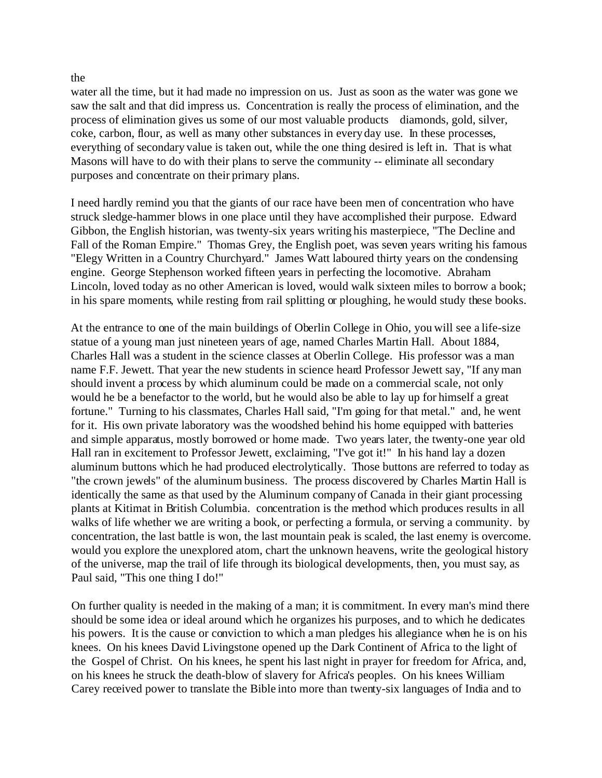## the

water all the time, but it had made no impression on us. Just as soon as the water was gone we saw the salt and that did impress us. Concentration is really the process of elimination, and the process of elimination gives us some of our most valuable products diamonds, gold, silver, coke, carbon, flour, as well as many other substances in every day use. In these processes, everything of secondary value is taken out, while the one thing desired is left in. That is what Masons will have to do with their plans to serve the community -- eliminate all secondary purposes and concentrate on their primary plans.

I need hardly remind you that the giants of our race have been men of concentration who have struck sledge-hammer blows in one place until they have accomplished their purpose. Edward Gibbon, the English historian, was twenty-six years writing his masterpiece, "The Decline and Fall of the Roman Empire." Thomas Grey, the English poet, was seven years writing his famous "Elegy Written in a Country Churchyard." James Watt laboured thirty years on the condensing engine. George Stephenson worked fifteen years in perfecting the locomotive. Abraham Lincoln, loved today as no other American is loved, would walk sixteen miles to borrow a book; in his spare moments, while resting from rail splitting or ploughing, he would study these books.

At the entrance to one of the main buildings of Oberlin College in Ohio, you will see a life-size statue of a young man just nineteen years of age, named Charles Martin Hall. About 1884, Charles Hall was a student in the science classes at Oberlin College. His professor was a man name F.F. Jewett. That year the new students in science heard Professor Jewett say, "If any man should invent a process by which aluminum could be made on a commercial scale, not only would he be a benefactor to the world, but he would also be able to lay up for himself a great fortune." Turning to his classmates, Charles Hall said, "I'm going for that metal." and, he went for it. His own private laboratory was the woodshed behind his home equipped with batteries and simple apparatus, mostly borrowed or home made. Two years later, the twenty-one year old Hall ran in excitement to Professor Jewett, exclaiming, "I've got it!" In his hand lay a dozen aluminum buttons which he had produced electrolytically. Those buttons are referred to today as "the crown jewels" of the aluminum business. The process discovered by Charles Martin Hall is identically the same as that used by the Aluminum company of Canada in their giant processing plants at Kitimat in British Columbia. concentration is the method which produces results in all walks of life whether we are writing a book, or perfecting a formula, or serving a community. by concentration, the last battle is won, the last mountain peak is scaled, the last enemy is overcome. would you explore the unexplored atom, chart the unknown heavens, write the geological history of the universe, map the trail of life through its biological developments, then, you must say, as Paul said, "This one thing I do!"

On further quality is needed in the making of a man; it is commitment. In every man's mind there should be some idea or ideal around which he organizes his purposes, and to which he dedicates his powers. It is the cause or conviction to which a man pledges his allegiance when he is on his knees. On his knees David Livingstone opened up the Dark Continent of Africa to the light of the Gospel of Christ. On his knees, he spent his last night in prayer for freedom for Africa, and, on his knees he struck the death-blow of slavery for Africa's peoples. On his knees William Carey received power to translate the Bible into more than twenty-six languages of India and to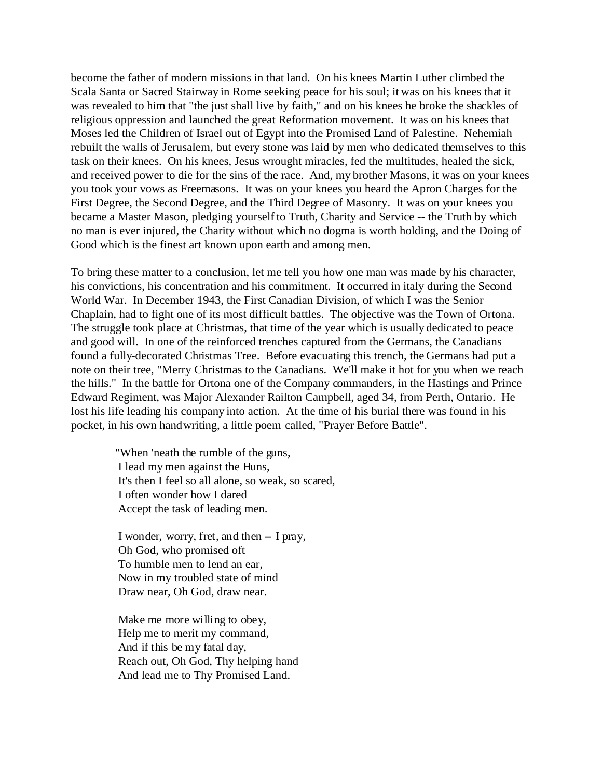become the father of modern missions in that land. On his knees Martin Luther climbed the Scala Santa or Sacred Stairway in Rome seeking peace for his soul; it was on his knees that it was revealed to him that "the just shall live by faith," and on his knees he broke the shackles of religious oppression and launched the great Reformation movement. It was on his knees that Moses led the Children of Israel out of Egypt into the Promised Land of Palestine. Nehemiah rebuilt the walls of Jerusalem, but every stone was laid by men who dedicated themselves to this task on their knees. On his knees, Jesus wrought miracles, fed the multitudes, healed the sick, and received power to die for the sins of the race. And, my brother Masons, it was on your knees you took your vows as Freemasons. It was on your knees you heard the Apron Charges for the First Degree, the Second Degree, and the Third Degree of Masonry. It was on your knees you became a Master Mason, pledging yourself to Truth, Charity and Service -- the Truth by which no man is ever injured, the Charity without which no dogma is worth holding, and the Doing of Good which is the finest art known upon earth and among men.

To bring these matter to a conclusion, let me tell you how one man was made by his character, his convictions, his concentration and his commitment. It occurred in italy during the Second World War. In December 1943, the First Canadian Division, of which I was the Senior Chaplain, had to fight one of its most difficult battles. The objective was the Town of Ortona. The struggle took place at Christmas, that time of the year which is usually dedicated to peace and good will. In one of the reinforced trenches captured from the Germans, the Canadians found a fully-decorated Christmas Tree. Before evacuating this trench, the Germans had put a note on their tree, "Merry Christmas to the Canadians. We'll make it hot for you when we reach the hills." In the battle for Ortona one of the Company commanders, in the Hastings and Prince Edward Regiment, was Major Alexander Railton Campbell, aged 34, from Perth, Ontario. He lost his life leading his company into action. At the time of his burial there was found in his pocket, in his own handwriting, a little poem called, "Prayer Before Battle".

 "When 'neath the rumble of the guns, I lead my men against the Huns, It's then I feel so all alone, so weak, so scared, I often wonder how I dared Accept the task of leading men.

 I wonder, worry, fret, and then -- I pray, Oh God, who promised oft To humble men to lend an ear, Now in my troubled state of mind Draw near, Oh God, draw near.

 Make me more willing to obey, Help me to merit my command, And if this be my fatal day, Reach out, Oh God, Thy helping hand And lead me to Thy Promised Land.